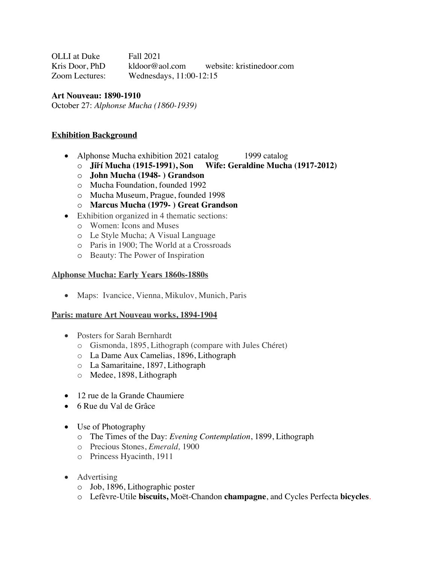OLLI at Duke Fall 2021 Kris Door, PhD kldoor@aol.com website: kristinedoor.com Zoom Lectures: Wednesdays, 11:00-12:15

## **Art Nouveau: 1890-1910**

October 27: *Alphonse Mucha (1860-1939)*

### **Exhibition Background**

- Alphonse Mucha exhibition 2021 catalog 1999 catalog
	- o **Jiří Mucha (1915-1991), Son Wife: Geraldine Mucha (1917-2012)**
	- o **John Mucha (1948- ) Grandson**
	- o Mucha Foundation, founded 1992
	- o Mucha Museum, Prague, founded 1998
	- o **Marcus Mucha (1979- ) Great Grandson**
- Exhibition organized in 4 thematic sections:
	- o Women: Icons and Muses
	- o Le Style Mucha; A Visual Language
	- o Paris in 1900; The World at a Crossroads
	- o Beauty: The Power of Inspiration

#### **Alphonse Mucha: Early Years 1860s-1880s**

• Maps: Ivancice, Vienna, Mikulov, Munich, Paris

#### **Paris: mature Art Nouveau works, 1894-1904**

- Posters for Sarah Bernhardt
	- o Gismonda, 1895, Lithograph (compare with Jules Chéret)
	- o La Dame Aux Camelias, 1896, Lithograph
	- o La Samaritaine, 1897, Lithograph
	- o Medee, 1898, Lithograph
- 12 rue de la Grande Chaumiere
- 6 Rue du Val de Grâce
- Use of Photography
	- o The Times of the Day: *Evening Contemplation*, 1899, Lithograph
	- o Precious Stones, *Emerald,* 1900
	- o Princess Hyacinth, 1911
- Advertising
	- o Job, 1896, Lithographic poster
	- o Lefèvre-Utile **biscuits,** Moët-Chandon **champagne**, and Cycles Perfecta **bicycles**.